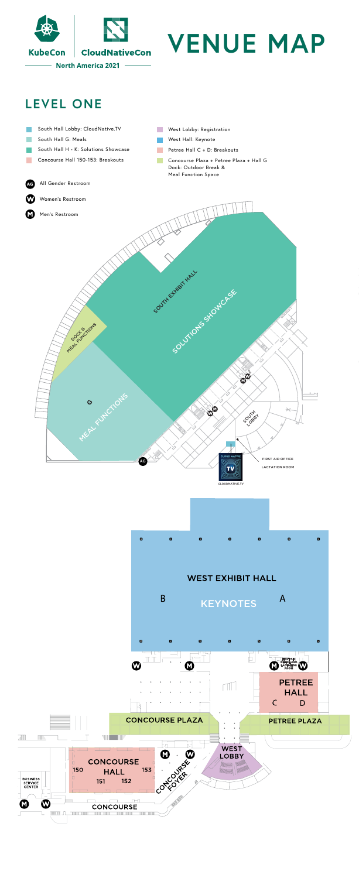

## **LEVEL ONE**

- South Hall Lobby: CloudNative.TV
- South Hall G: Meals
- South Hall H K: Solutions Showcase
	- Concourse Hall 150-153: Breakouts
- West Lobby: Registration
- West Hall: Keynote
- Petree Hall C + D: Breakouts
- Concourse Plaza + Petree Plaza + Hall G Dock: Outdoor Break & Meal Function Space

#### All Gender Restroom **AG**

Women's Restroom